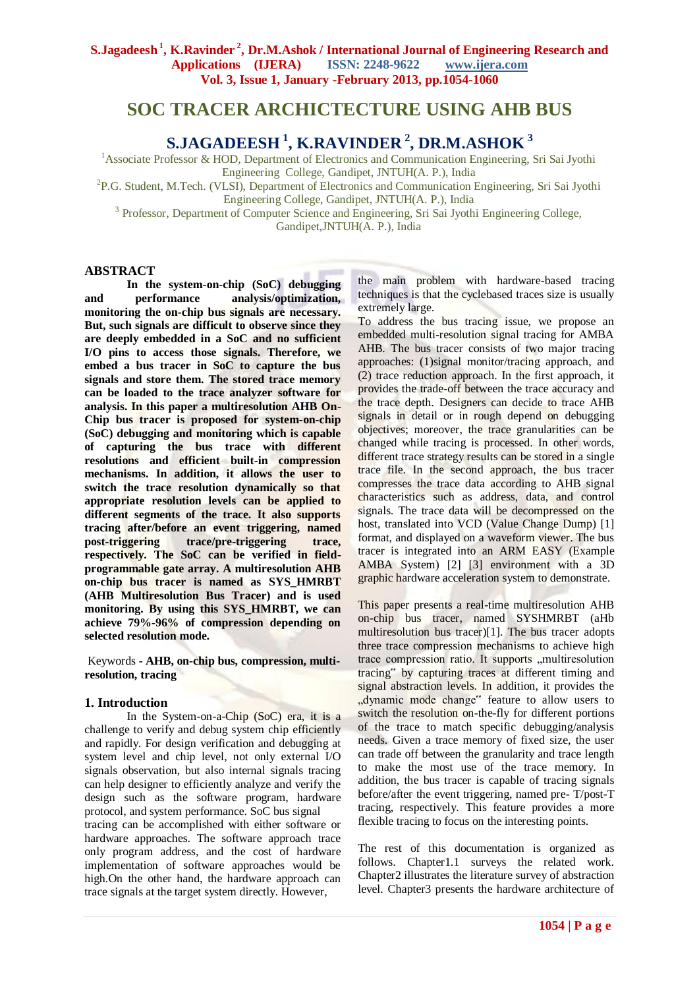# **SOC TRACER ARCHICTECTURE USING AHB BUS**

**S.JAGADEESH <sup>1</sup> , K.RAVINDER <sup>2</sup> , DR.M.ASHOK <sup>3</sup>**

<sup>1</sup>Associate Professor & HOD, Department of Electronics and Communication Engineering, Sri Sai Jyothi Engineering College, Gandipet, JNTUH(A. P.), India

<sup>2</sup>P.G. Student, M.Tech. (VLSI), Department of Electronics and Communication Engineering, Sri Sai Jyothi

Engineering College, Gandipet, JNTUH(A. P.), India

<sup>3</sup> Professor, Department of Computer Science and Engineering, Sri Sai Jyothi Engineering College,

Gandipet,JNTUH(A. P.), India

### **ABSTRACT**

**In the system-on-chip (SoC) debugging and performance analysis/optimization, monitoring the on-chip bus signals are necessary. But, such signals are difficult to observe since they are deeply embedded in a SoC and no sufficient I/O pins to access those signals. Therefore, we embed a bus tracer in SoC to capture the bus signals and store them. The stored trace memory can be loaded to the trace analyzer software for analysis. In this paper a multiresolution AHB On-Chip bus tracer is proposed for system-on-chip (SoC) debugging and monitoring which is capable of capturing the bus trace with different resolutions and efficient built-in compression mechanisms. In addition, it allows the user to switch the trace resolution dynamically so that appropriate resolution levels can be applied to different segments of the trace. It also supports tracing after/before an event triggering, named post-triggering trace/pre-triggering trace, respectively. The SoC can be verified in fieldprogrammable gate array. A multiresolution AHB on-chip bus tracer is named as SYS\_HMRBT (AHB Multiresolution Bus Tracer) and is used monitoring. By using this SYS\_HMRBT, we can achieve 79%-96% of compression depending on selected resolution mode***.*

Keywords **- AHB, on-chip bus, compression, multiresolution, tracing**

### **1. Introduction**

In the System-on-a-Chip (SoC) era, it is a challenge to verify and debug system chip efficiently and rapidly. For design verification and debugging at system level and chip level, not only external I/O signals observation, but also internal signals tracing can help designer to efficiently analyze and verify the design such as the software program, hardware protocol, and system performance. SoC bus signal tracing can be accomplished with either software or hardware approaches. The software approach trace only program address, and the cost of hardware implementation of software approaches would be high.On the other hand, the hardware approach can trace signals at the target system directly. However,

the main problem with hardware-based tracing techniques is that the cyclebased traces size is usually extremely large.

To address the bus tracing issue, we propose an embedded multi-resolution signal tracing for AMBA AHB. The bus tracer consists of two major tracing approaches: (1)signal monitor/tracing approach, and (2) trace reduction approach. In the first approach, it provides the trade-off between the trace accuracy and the trace depth. Designers can decide to trace AHB signals in detail or in rough depend on debugging objectives; moreover, the trace granularities can be changed while tracing is processed. In other words, different trace strategy results can be stored in a single trace file. In the second approach, the bus tracer compresses the trace data according to AHB signal characteristics such as address, data, and control signals. The trace data will be decompressed on the host, translated into VCD (Value Change Dump) [1] format, and displayed on a waveform viewer. The bus tracer is integrated into an ARM EASY (Example AMBA System) [2] [3] environment with a 3D graphic hardware acceleration system to demonstrate.

This paper presents a real-time multiresolution AHB on-chip bus tracer, named SYSHMRBT (aHb multiresolution bus tracer)[1]. The bus tracer adopts three trace compression mechanisms to achieve high trace compression ratio. It supports multiresolution tracing" by capturing traces at different timing and signal abstraction levels. In addition, it provides the "dynamic mode change" feature to allow users to switch the resolution on-the-fly for different portions of the trace to match specific debugging/analysis needs. Given a trace memory of fixed size, the user can trade off between the granularity and trace length to make the most use of the trace memory. In addition, the bus tracer is capable of tracing signals before/after the event triggering, named pre- T/post-T tracing, respectively. This feature provides a more flexible tracing to focus on the interesting points.

The rest of this documentation is organized as follows. Chapter1.1 surveys the related work. Chapter2 illustrates the literature survey of abstraction level. Chapter3 presents the hardware architecture of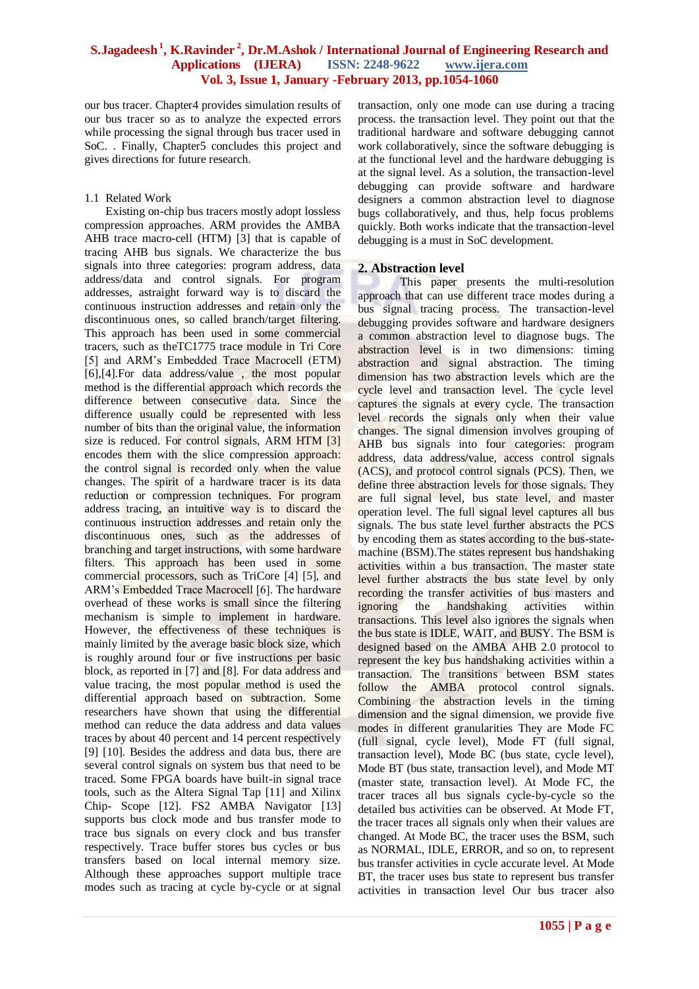our bus tracer. Chapter4 provides simulation results of our bus tracer so as to analyze the expected errors while processing the signal through bus tracer used in SoC. . Finally, Chapter5 concludes this project and gives directions for future research.

#### 1.1 Related Work

Existing on-chip bus tracers mostly adopt lossless compression approaches. ARM provides the AMBA AHB trace macro-cell (HTM) [3] that is capable of tracing AHB bus signals. We characterize the bus signals into three categories: program address, data address/data and control signals. For program addresses, astraight forward way is to discard the continuous instruction addresses and retain only the discontinuous ones, so called branch/target filtering. This approach has been used in some commercial tracers, such as theTC1775 trace module in Tri Core [5] and ARM's Embedded Trace Macrocell (ETM) [6],[4].For data address/value , the most popular method is the differential approach which records the difference between consecutive data. Since the difference usually could be represented with less number of bits than the original value, the information size is reduced. For control signals, ARM HTM [3] encodes them with the slice compression approach: the control signal is recorded only when the value changes. The spirit of a hardware tracer is its data reduction or compression techniques. For program address tracing, an intuitive way is to discard the continuous instruction addresses and retain only the discontinuous ones, such as the addresses of branching and target instructions, with some hardware filters. This approach has been used in some commercial processors, such as TriCore [4] [5], and ARM's Embedded Trace Macrocell [6]. The hardware overhead of these works is small since the filtering mechanism is simple to implement in hardware. However, the effectiveness of these techniques is mainly limited by the average basic block size, which is roughly around four or five instructions per basic block, as reported in [7] and [8]. For data address and value tracing, the most popular method is used the differential approach based on subtraction. Some researchers have shown that using the differential method can reduce the data address and data values traces by about 40 percent and 14 percent respectively [9] [10]. Besides the address and data bus, there are several control signals on system bus that need to be traced. Some FPGA boards have built-in signal trace tools, such as the Altera Signal Tap [11] and Xilinx Chip- Scope [12]. FS2 AMBA Navigator [13] supports bus clock mode and bus transfer mode to trace bus signals on every clock and bus transfer respectively. Trace buffer stores bus cycles or bus transfers based on local internal memory size. Although these approaches support multiple trace modes such as tracing at cycle by-cycle or at signal

transaction, only one mode can use during a tracing process. the transaction level. They point out that the traditional hardware and software debugging cannot work collaboratively, since the software debugging is at the functional level and the hardware debugging is at the signal level. As a solution, the transaction-level debugging can provide software and hardware designers a common abstraction level to diagnose bugs collaboratively, and thus, help focus problems quickly. Both works indicate that the transaction-level debugging is a must in SoC development.

### **2. Abstraction level**

This paper presents the multi-resolution approach that can use different trace modes during a bus signal tracing process. The transaction-level debugging provides software and hardware designers a common abstraction level to diagnose bugs. The abstraction level is in two dimensions: timing abstraction and signal abstraction. The timing dimension has two abstraction levels which are the cycle level and transaction level. The cycle level captures the signals at every cycle. The transaction level records the signals only when their value changes. The signal dimension involves grouping of AHB bus signals into four categories: program address, data address/value, access control signals (ACS), and protocol control signals (PCS). Then, we define three abstraction levels for those signals. They are full signal level, bus state level, and master operation level. The full signal level captures all bus signals. The bus state level further abstracts the PCS by encoding them as states according to the bus-statemachine (BSM).The states represent bus handshaking activities within a bus transaction. The master state level further abstracts the bus state level by only recording the transfer activities of bus masters and ignoring the handshaking activities within transactions. This level also ignores the signals when the bus state is IDLE, WAIT, and BUSY. The BSM is designed based on the AMBA AHB 2.0 protocol to represent the key bus handshaking activities within a transaction. The transitions between BSM states follow the AMBA protocol control signals. Combining the abstraction levels in the timing dimension and the signal dimension, we provide five modes in different granularities They are Mode FC (full signal, cycle level), Mode FT (full signal, transaction level), Mode BC (bus state, cycle level), Mode BT (bus state, transaction level), and Mode MT (master state, transaction level). At Mode FC, the tracer traces all bus signals cycle-by-cycle so the detailed bus activities can be observed. At Mode FT, the tracer traces all signals only when their values are changed. At Mode BC, the tracer uses the BSM, such as NORMAL, IDLE, ERROR, and so on, to represent bus transfer activities in cycle accurate level. At Mode BT, the tracer uses bus state to represent bus transfer activities in transaction level Our bus tracer also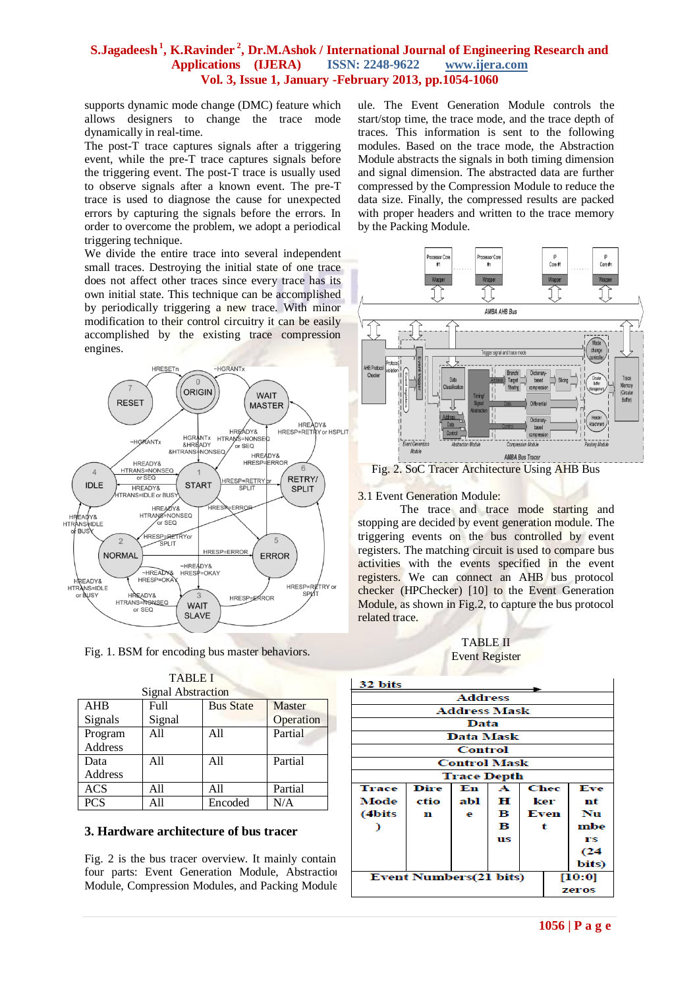supports dynamic mode change (DMC) feature which allows designers to change the trace mode dynamically in real-time.

The post-T trace captures signals after a triggering event, while the pre-T trace captures signals before the triggering event. The post-T trace is usually used to observe signals after a known event. The pre-T trace is used to diagnose the cause for unexpected errors by capturing the signals before the errors. In order to overcome the problem, we adopt a periodical triggering technique.

We divide the entire trace into several independent small traces. Destroying the initial state of one trace does not affect other traces since every trace has its own initial state. This technique can be accomplished by periodically triggering a new trace. With minor modification to their control circuitry it can be easily accomplished by the existing trace compression engines.



Fig. 1. BSM for encoding bus master behaviors.

TABLE I

| LADLE L            |        |                  |               |  |  |  |  |  |
|--------------------|--------|------------------|---------------|--|--|--|--|--|
| Signal Abstraction |        |                  |               |  |  |  |  |  |
| <b>AHB</b>         | Full   | <b>Bus State</b> | <b>Master</b> |  |  |  |  |  |
| Signals            | Signal |                  | Operation     |  |  |  |  |  |
| Program            | All    | All              | Partial       |  |  |  |  |  |
| <b>Address</b>     |        |                  |               |  |  |  |  |  |
| Data               | All    | A11              | Partial       |  |  |  |  |  |
| Address            |        |                  |               |  |  |  |  |  |
| <b>ACS</b>         | All    | All              | Partial       |  |  |  |  |  |
| <b>PCS</b>         | A11    | Encoded          | N/A           |  |  |  |  |  |

### **3. Hardware architecture of bus tracer**

Fig.  $2$  is the bus tracer overview. It mainly contain four parts: Event Generation Module, Abstraction Module, Compression Modules, and Packing Module.

ule. The Event Generation Module controls the start/stop time, the trace mode, and the trace depth of traces. This information is sent to the following modules. Based on the trace mode, the Abstraction Module abstracts the signals in both timing dimension and signal dimension. The abstracted data are further compressed by the Compression Module to reduce the data size. Finally, the compressed results are packed with proper headers and written to the trace memory by the Packing Module.



Fig. 2. SoC Tracer Architecture Using AHB Bus

#### 3.1 Event Generation Module:

The trace and trace mode starting and stopping are decided by event generation module. The triggering events on the bus controlled by event registers. The matching circuit is used to compare bus activities with the events specified in the event registers. We can connect an AHB bus protocol checker (HPChecker) [10] to the Event Generation Module, as shown in Fig.2, to capture the bus protocol related trace.

| <b>TABLE II</b>       |  |  |  |  |  |  |
|-----------------------|--|--|--|--|--|--|
| <b>Event Register</b> |  |  |  |  |  |  |

| 32 bits                                  |             |     |    |      |      |          |  |  |
|------------------------------------------|-------------|-----|----|------|------|----------|--|--|
| <b>Address</b>                           |             |     |    |      |      |          |  |  |
| <b>Address Mask</b>                      |             |     |    |      |      |          |  |  |
| Data                                     |             |     |    |      |      |          |  |  |
| <b>Data Mask</b>                         |             |     |    |      |      |          |  |  |
| Control                                  |             |     |    |      |      |          |  |  |
| <b>Control Mask</b>                      |             |     |    |      |      |          |  |  |
| <b>Trace Depth</b>                       |             |     |    |      |      |          |  |  |
| <b>Trace</b>                             | <b>Dire</b> | En  | A  |      | Chec | Eve      |  |  |
| Mode                                     | ctio        | abl | Ħ  | ker  |      | nt       |  |  |
| (4bits)                                  | n           | е   | в  | Even |      | Nu       |  |  |
|                                          |             |     | в  | t    |      | mbe      |  |  |
|                                          |             |     | us |      |      | rs       |  |  |
|                                          |             |     |    |      |      | $^{c24}$ |  |  |
|                                          |             |     |    |      |      | bits)    |  |  |
| <b>Event Numbers</b> (21 bits)<br>[10:0] |             |     |    |      |      |          |  |  |
| zeros                                    |             |     |    |      |      |          |  |  |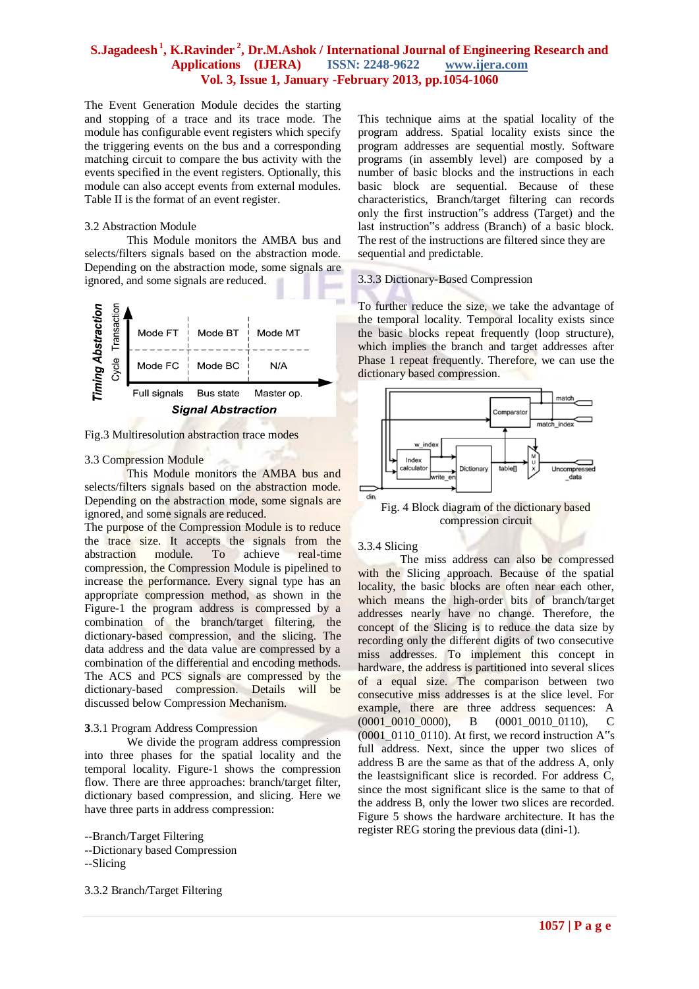The Event Generation Module decides the starting and stopping of a trace and its trace mode. The module has configurable event registers which specify the triggering events on the bus and a corresponding matching circuit to compare the bus activity with the events specified in the event registers. Optionally, this module can also accept events from external modules. Table II is the format of an event register.

#### 3.2 Abstraction Module

This Module monitors the AMBA bus and selects/filters signals based on the abstraction mode. Depending on the abstraction mode, some signals are ignored, and some signals are reduced.



Fig.3 Multiresolution abstraction trace modes

#### 3.3 Compression Module

This Module monitors the AMBA bus and selects/filters signals based on the abstraction mode. Depending on the abstraction mode, some signals are ignored, and some signals are reduced.

The purpose of the Compression Module is to reduce the trace size. It accepts the signals from the abstraction module. To achieve real-time compression, the Compression Module is pipelined to increase the performance. Every signal type has an appropriate compression method, as shown in the Figure-1 the program address is compressed by a combination of the branch/target filtering, the dictionary-based compression, and the slicing. The data address and the data value are compressed by a combination of the differential and encoding methods. The ACS and PCS signals are compressed by the dictionary-based compression. Details will be discussed below Compression Mechanism.

#### **3**.3.1 Program Address Compression

We divide the program address compression into three phases for the spatial locality and the temporal locality. Figure-1 shows the compression flow. There are three approaches: branch/target filter, dictionary based compression, and slicing. Here we have three parts in address compression:

--Dictionary based Compression

--Slicing

3.3.2 Branch/Target Filtering

This technique aims at the spatial locality of the program address. Spatial locality exists since the program addresses are sequential mostly. Software programs (in assembly level) are composed by a number of basic blocks and the instructions in each basic block are sequential. Because of these characteristics, Branch/target filtering can records only the first instruction"s address (Target) and the last instruction"s address (Branch) of a basic block. The rest of the instructions are filtered since they are sequential and predictable.

### 3.3.3 Dictionary-B*a*sed Compression

To further reduce the size, we take the advantage of the temporal locality. Temporal locality exists since the basic blocks repeat frequently (loop structure), which implies the branch and target addresses after Phase 1 repeat frequently. Therefore, we can use the dictionary based compression.



Fig. 4 Block diagram of the dictionary based compression circuit

### 3.3.4 Slicing

The miss address can also be compressed with the Slicing approach. Because of the spatial locality, the basic blocks are often near each other. which means the high-order bits of branch/target addresses nearly have no change. Therefore, the concept of the Slicing is to reduce the data size by recording only the different digits of two consecutive miss addresses. To implement this concept in hardware, the address is partitioned into several slices of a equal size. The comparison between two consecutive miss addresses is at the slice level. For example, there are three address sequences: A (0001 0010 0000), B (0001 0010 0110), C  $(0001\ 0110\ 0110)$ . At first, we record instruction A $\degree$ s full address. Next, since the upper two slices of address B are the same as that of the address A, only the leastsignificant slice is recorded. For address C, since the most significant slice is the same to that of the address B, only the lower two slices are recorded. Figure 5 shows the hardware architecture. It has the register REG storing the previous data (dini-1).

<sup>--</sup>Branch/Target Filtering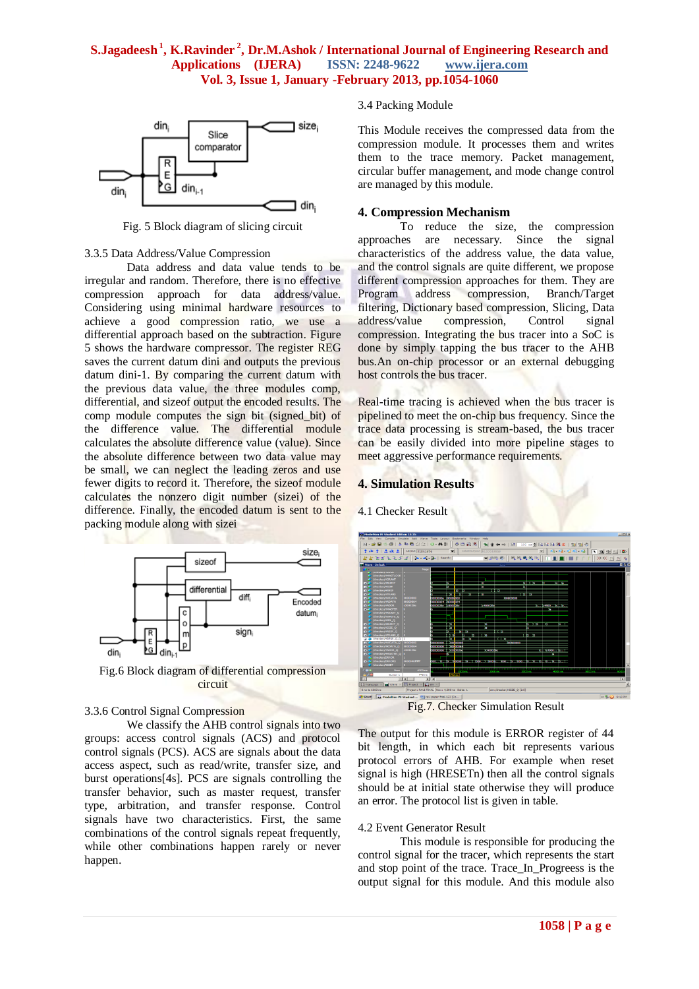

Fig. 5 Block diagram of slicing circuit

#### 3.3.5 Data Address/Value Compression

Data address and data value tends to be irregular and random. Therefore, there is no effective compression approach for data address/value. Considering using minimal hardware resources to achieve a good compression ratio, we use a differential approach based on the subtraction. Figure 5 shows the hardware compressor. The register REG saves the current datum dini and outputs the previous datum dini-1. By comparing the current datum with the previous data value, the three modules comp, differential, and sizeof output the encoded results. The comp module computes the sign bit (signed\_bit) of the difference value. The differential module calculates the absolute difference value (value). Since the absolute difference between two data value may be small, we can neglect the leading zeros and use fewer digits to record it. Therefore, the sizeof module calculates the nonzero digit number (sizei) of the difference. Finally, the encoded datum is sent to the packing module along with sizei



Fig.6 Block diagram of differential compression circuit

#### 3.3.6 Control Signal Compression

We classify the AHB control signals into two groups: access control signals (ACS) and protocol control signals (PCS). ACS are signals about the data access aspect, such as read/write, transfer size, and burst operations[4s]. PCS are signals controlling the transfer behavior, such as master request, transfer type, arbitration, and transfer response. Control signals have two characteristics. First, the same combinations of the control signals repeat frequently, while other combinations happen rarely or never happen.

#### 3.4 Packing Module

This Module receives the compressed data from the compression module. It processes them and writes them to the trace memory. Packet management, circular buffer management, and mode change control are managed by this module.

#### **4. Compression Mechanism**

To reduce the size, the compression approaches are necessary. Since the signal characteristics of the address value, the data value, and the control signals are quite different, we propose different compression approaches for them. They are Program address compression, Branch/Target filtering, Dictionary based compression, Slicing, Data address/value compression, Control signal compression. Integrating the bus tracer into a SoC is done by simply tapping the bus tracer to the AHB bus.An on-chip processor or an external debugging host controls the bus tracer.

Real-time tracing is achieved when the bus tracer is pipelined to meet the on-chip bus frequency. Since the trace data processing is stream-based, the bus tracer can be easily divided into more pipeline stages to meet aggressive performance requirements.

#### **4. Simulation Results**

4.1 Checker Result



Fig.7. Checker Simulation Result

The output for this module is ERROR register of 44 bit length, in which each bit represents various protocol errors of AHB. For example when reset signal is high (HRESETn) then all the control signals should be at initial state otherwise they will produce an error. The protocol list is given in table.

#### 4.2 Event Generator Result

This module is responsible for producing the control signal for the tracer, which represents the start and stop point of the trace. Trace\_In\_Progreess is the output signal for this module. And this module also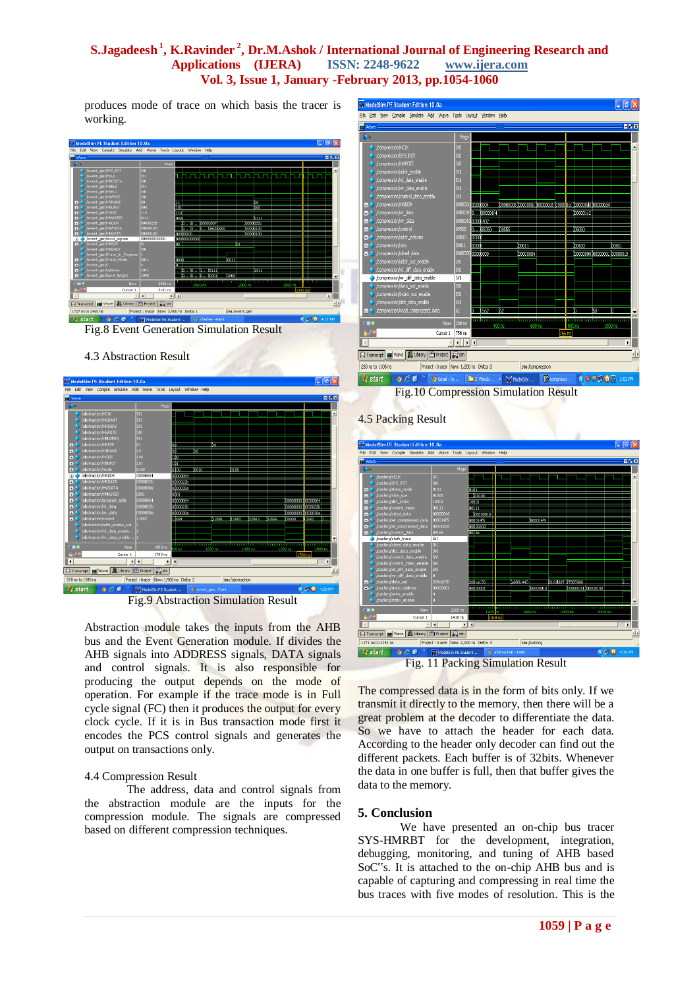produces mode of trace on which basis the tracer is working.





### 4.3 Abstraction Result





Abstraction module takes the inputs from the AHB bus and the Event Generation module. If divides the AHB signals into ADDRESS signals, DATA signals and control signals. It is also responsible for producing the output depends on the mode of operation. For example if the trace mode is in Full cycle signal (FC) then it produces the output for every clock cycle. If it is in Bus transaction mode first it encodes the PCS control signals and generates the output on transactions only.

#### 4.4 Compression Result

The address, data and control signals from the abstraction module are the inputs for the compression module. The signals are compressed based on different compression techniques.



Fig.10 Compression Simulation Result



The compressed data is in the form of bits only. If we transmit it directly to the memory, then there will be a great problem at the decoder to differentiate the data. So we have to attach the header for each data. According to the header only decoder can find out the different packets. Each buffer is of 32bits. Whenever the data in one buffer is full, then that buffer gives the data to the memory.

### **5. Conclusion**

We have presented an on-chip bus tracer SYS-HMRBT for the development, integration, debugging, monitoring, and tuning of AHB based SoC"s. It is attached to the on-chip AHB bus and is capable of capturing and compressing in real time the bus traces with five modes of resolution. This is the